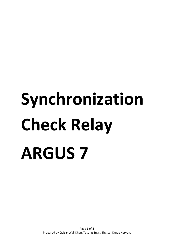# **Synchronization Check Relay ARGUS 7**

Page **1** of **8** Prepared by Qaisar Wali Khan, Testing Engr., ThyssenKrupp Xervon.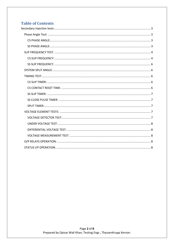# **Table of Contents**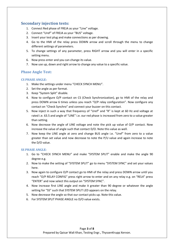# <span id="page-2-0"></span>**Secondary injection tests:**

- 1. Connect Red phase of FREJA as your "Line" voltage.
- 2. Connect "Uref" of FREJA as your "BUS" voltage.
- 3. Insert your test plug and make connections as per drawing.
- 4. Go to the HMI of the relay press DOWN arrow and scroll through the menu to change different settings of parameters.
- 5. To change settings of any parameter, press RIGHT arrow and you will enter in a specific setting menu.
- 6. Now press enter and you can change its value.
- 7. Now use up, down and right arrow to change any value to a specific value.

# <span id="page-2-1"></span>**Phase Angle Test:**

# <span id="page-2-2"></span>**CS PHASE ANGLE:**

- 1. Make the settings under menu "CHECK SYNCH MENU".
- 2. Set the angle as per format.
- 3. Keep "System Split" disable.
- 4. Now to configure O/P contact on CS (Check Synchronization), go to HMI of the relay and press DOWN arrow 6 times unless you reach "O/P relay configuration". Now configure any contact on "Check Synchro" and connect your buzzer on this contact.
- 5. Now inject in such a way that frequency of "Uref" and "R" is kept at 60 Hz and voltage at rated i.e. 63.5 and angle of "LINE" i.e. our red phase is increased from zero to a value greater than setting.
- 6. Now decrease the angle of LINE voltage and note the pick up value of O/P contact. Now increase the value of angle such that contact D/O. Note this value as well.
- 7. Now keep the LINE angle at zero and change BUS angle i.e. "Uref" from zero to a value greater than set value and now decrease to note the P/U value and again increase to note the D/O value.

## <span id="page-2-3"></span>**SS PHASE ANGLE:**

- 1. Go to "CHECK SYNCH MENU" and make "SYSTEM SPLIT" enable and make the angle 90 degree e.g.
- 2. Now to make the setting of "SYSTEM SPLIT" go to menu "SYSTEM SYNC" and set your values here.
- 3. Now again to configure O/P contact go to HMI of the relay and press DOWN arrow until you reach "O/P RELAY CONFIG" press right arrow to enter and on any relay e.g. on "REL4" press "ENTER" and now select this output on "SYSTEM SYNC".
- 4. Now increase first LINE angle and make it greater than 90 degree or whatever the angle setting for "SS" such that SYSTEM SPLIT LED appears on the relay.
- 5. Now decrease the angle so that our contact picks up. Note this value.
- 6. For SYSTEM SPLIT PHASE ANGLE no D/O value exists.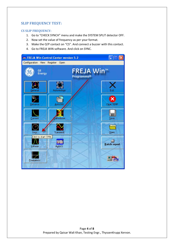# <span id="page-3-0"></span>**SLIP FREQUENCY TEST:**

## <span id="page-3-1"></span>**CS SLIP FREQUENCY:**

- 1. Go to "CHECK SYNCH" menu and make the SYSTEM SPLIT detector OFF.
- 2. Now set the value of frequency as per your format.
- 3. Make the O/P contact on "CS". And connect a buzzer with this contact.
- 4. Go to FREJA WIN software. And click on SYNC.

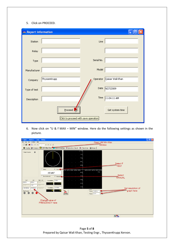#### 5. Click on PROCEED.

| an Report information                |              |            |                  |  |
|--------------------------------------|--------------|------------|------------------|--|
| Station                              |              | Line       |                  |  |
| Relay                                |              |            |                  |  |
| Type                                 |              | Serial No. |                  |  |
| Manufacturer                         |              | Model      |                  |  |
| Company                              | ThyssenKrupp | Operator   | Qaisar Wali Khan |  |
| Type of test                         |              | Date       | 9/27/2009        |  |
| Description                          |              | Time       | 11:04:11 AM      |  |
|                                      | Proceed      |            | Get system time  |  |
| Click to proceed with save operation |              |            |                  |  |

6. Now click on "U & f MAX – MIN" window. Here do the following settings as shown in the picture.



Page **5** of **8** Prepared by Qaisar Wali Khan, Testing Engr., ThyssenKrupp Xervon.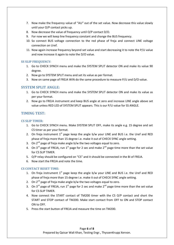- 7. Now make the frequency value of "AU" out of the set value. Now decrease this value slowly until your O/P contact picks up.
- 8. Now decrease the value of frequency until O/P contact D/O.
- 9. For now we will keep line frequency constant and change the BUS frequency.
- 10. So connect BUS voltage connection to the red phase of freja and connect LINE voltage connection on Uref.
- 11. Now again increase frequency beyond set value and start decreasing it to note the P/U value and now increase it again to note the D/O value.

## <span id="page-5-0"></span>**SS SLIP FREQUENCY:**

- 1. Go to CHECK SYNCH menu and make the SYSTEM SPLIT detector ON and make its value 90 degree.
- 2. Now go to SYSTEM SPLIT menu and set its value as per format.
- 3. Now on same page of FREJA WIN do the same procedure to measure P/U and D/O value.

# <span id="page-5-1"></span>**SYSTEM SPLIT ANGLE:**

- 1. Go to CHECK SYNCH menu and make the SYSTEM SPLIT detector ON and make its value as per your format.
- 2. Now go to FREJA instrument and keep BUS angle at zero and increase LINE angle above set value unless RED LED of SYSTEM SPLIT appears. This is our P/U value for SS ANGLE.

# <span id="page-5-2"></span>**TIMING TEST:**

# <span id="page-5-3"></span>**CS SLIP TIMER:**

- 1. Go to CHECK SYNCH menu. Make SYSTEM SPLIT OFF, make its angle e.g. 15 degree and set CS timer as per your format.
- 2. On freja instrument  $1<sup>st</sup>$  page keep the angle b/w your LINE and BUS i.e. the Uref and RED phase of freja more than 15 degree i.e. make it out of CHECK SYNC angle setting.
- 3. On  $2^{nd}$  page of freja make angle b/w the two voltages equal to zero.
- 4. On 3<sup>rd</sup> page of FREJA, run 1<sup>st</sup> page for 2 sec and make 2<sup>nd</sup> page time more than the set value for CS SLIP TIMER.
- 5. O/P relay should be configured on "CS" and it should be connected in the BI of FREJA.
- 6. Now start the FREJA and note the time.

# <span id="page-5-4"></span>**CS CONTACT RESET TIME:**

- 1. On freja instrument  $1<sup>st</sup>$  page keep the angle b/w your LINE and BUS i.e. the Uref and RED phase of freja more than 15 degree i.e. make it out of CHECK SYNC angle setting.
- 2. On  $2^{nd}$  page of freja make angle b/w the two voltages equal to zero.
- 3. On 3<sup>rd</sup> page of FREJA, run 1<sup>st</sup> page for 2 sec and make 2<sup>nd</sup> page time more than the set value for CS SLIP TIMER.
- 4. Now connect the START contact of TM200 timer with the CS O/P contact and short the START and STOP contact of TM200. Make start contact from OFF to ON and STOP contact ON to OFF.
- 5. Press the start button of FREJA and measure the time on TM200.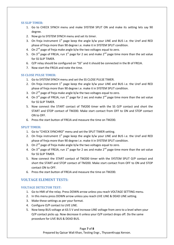#### <span id="page-6-0"></span>**SS SLIP TIMER:**

- 1. Go to CHECK SYNCH menu and make SYSTEM SPLIT ON and make its setting lets say 90 degree.
- 2. Now go to SYSTEM SYNCH menu and set its timer.
- 3. On freja instrument  $1<sup>st</sup>$  page keep the angle b/w your LINE and BUS i.e. the Uref and RED phase of freja more than 90 degree i.e. make it in SYSTEM SPLIT condition.
- 4. On  $2^{nd}$  page of freja make angle b/w the two voltages equal to zero.
- 5. On 3<sup>rd</sup> page of FREJA, run 1<sup>st</sup> page for 2 sec and make 2<sup>nd</sup> page time more than the set value for SS SLIP TIMER.
- 6. O/P relay should be configured on "SS" and it should be connected in the BI of FREJA.
- 7. Now start the FREJA and note the time.

## <span id="page-6-1"></span>**SS CLOSE PULSE TIMER:**

- 1. Go to SYSTEM SYNCH menu and set the SS CLOSE PULSE TIMER.
- 2. On freja instrument  $1^{st}$  page keep the angle b/w your LINE and BUS i.e. the Uref and RED phase of freja more than 90 degree i.e. make it in SYSTEM SPLIT condition.
- 3. On  $2^{nd}$  page of freja make angle b/w the two voltages equal to zero.
- 4. On 3<sup>rd</sup> page of FREJA, run 1<sup>st</sup> page for 2 sec and make 2<sup>nd</sup> page time more than the set value for SS SLIP TIMER.
- 5. Now connect the START contact of TM200 timer with the SS O/P contact and short the START and STOP contact of TM200. Make start contact from OFF to ON and STOP contact ON to OFF.
- 6. Press the start button of FREJA and measure the time on TM200.

## <span id="page-6-2"></span>**SPLIT TIMER:**

- 1. Go to "CHECK SYNCHRO" menu and set the SPLIT TIMER setting.
- 2. On freja instrument  $1<sup>st</sup>$  page keep the angle b/w your LINE and BUS i.e. the Uref and RED phase of freja more than 90 degree i.e. make it in SYSTEM SPLIT condition.
- 3. On  $2^{nd}$  page of freja make angle b/w the two voltages equal to zero.
- 4. On 3<sup>rd</sup> page of FREJA, run 1<sup>st</sup> page for 2 sec and make 2<sup>nd</sup> page time more than the set value for SS SLIP TIMER.
- 5. Now connect the START contact of TM200 timer with the SYSTEM SPLIT O/P contact and short the START and STOP contact of TM200. Make start contact from OFF to ON and STOP contact ON to OFF.
- 6. Press the start button of FREJA and measure the time on TM200.

# <span id="page-6-3"></span>**VOLTAGE ELEMENT TESTS:**

## <span id="page-6-4"></span>**VOLTAGE DETECTOR TEST:**

- 1. Go to HMI of the relay. Press DOWN arrow unless you reach VOLTAGE SETTING menu.
- 2. In this menu press DOWN arrow unless you reach LIVE LINE & DEAD LINE setting.
- 3. Make these settings as per your format.
- 4. Configure O/P contact to LIVE LINE.
- 5. Now keep BUS voltage at 63.5 V and increase LINE voltage from zero to a level when your O/P contact picks up. Now decrease it unless your O/P contact drops off. Do the same procedure for LIVE BUS & DEAD BUS.